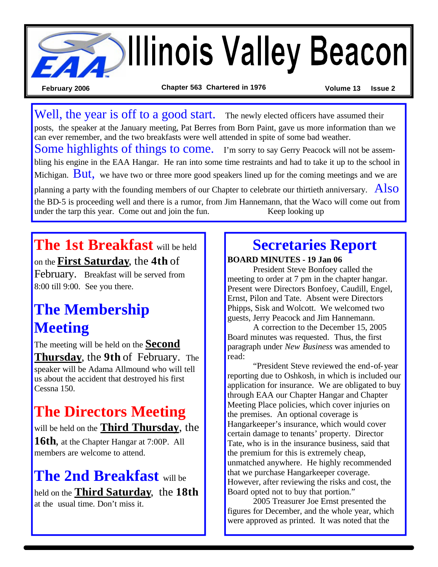

Well, the year is off to a good start. The newly elected officers have assumed their posts, the speaker at the January meeting, Pat Berres from Born Paint, gave us more information than we can ever remember, and the two breakfasts were well attended in spite of some bad weather. Some highlights of things to come. I'm sorry to say Gerry Peacock will not be assembling his engine in the EAA Hangar. He ran into some time restraints and had to take it up to the school in Michigan.  $But$ , we have two or three more good speakers lined up for the coming meetings and we are planning a party with the founding members of our Chapter to celebrate our thirtieth anniversary.  $\angle$ AlsO the BD-5 is proceeding well and there is a rumor, from Jim Hannemann, that the Waco will come out from under the tarp this year. Come out and join the fun. Keep looking up

**The 1st Breakfast** will be held on the **First Saturday**, the **4th** of February. Breakfast will be served from 8:00 till 9:00. See you there.

### **The Membership Meeting**

The meeting will be held on the **Second Thursday**, the **9th** of February. The speaker will be Adama Allmound who will tell us about the accident that destroyed his first Cessna 150.

## **The Directors Meeting**

will be held on the **Third Thursday**, the **16th**, at the Chapter Hangar at 7:00P. All members are welcome to attend.

**The 2nd Breakfast** will be held on the **Third Saturday**, the **18th** at the usual time. Don't miss it.

### **Secretaries Report**

**BOARD MINUTES - 19 Jan 06**

President Steve Bonfoey called the meeting to order at 7 pm in the chapter hangar. Present were Directors Bonfoey, Caudill, Engel, Ernst, Pilon and Tate. Absent were Directors Phipps, Sisk and Wolcott. We welcomed two guests, Jerry Peacock and Jim Hannemann.

A correction to the December 15, 2005 Board minutes was requested. Thus, the first paragraph under *New Business* was amended to read:

"President Steve reviewed the end-of-year reporting due to Oshkosh, in which is included our application for insurance. We are obligated to buy through EAA our Chapter Hangar and Chapter Meeting Place policies, which cover injuries on the premises. An optional coverage is Hangarkeeper's insurance, which would cover certain damage to tenants' property. Director Tate, who is in the insurance business, said that the premium for this is extremely cheap, unmatched anywhere. He highly recommended that we purchase Hangarkeeper coverage. However, after reviewing the risks and cost, the Board opted not to buy that portion."

2005 Treasurer Joe Ernst presented the figures for December, and the whole year, which were approved as printed. It was noted that the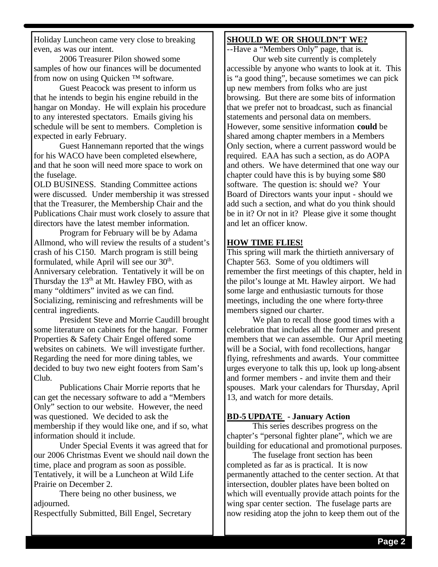Holiday Luncheon came very close to breaking even, as was our intent.

2006 Treasurer Pilon showed some samples of how our finances will be documented from now on using Quicken ™ software.

Guest Peacock was present to inform us that he intends to begin his engine rebuild in the hangar on Monday. He will explain his procedure to any interested spectators. Emails giving his schedule will be sent to members. Completion is expected in early February.

Guest Hannemann reported that the wings for his WACO have been completed elsewhere, and that he soon will need more space to work on the fuselage.

OLD BUSINESS. Standing Committee actions were discussed. Under membership it was stressed that the Treasurer, the Membership Chair and the Publications Chair must work closely to assure that directors have the latest member information.

Program for February will be by Adama Allmond, who will review the results of a student's crash of his C150. March program is still being formulated, while April will see our  $30<sup>th</sup>$ . Anniversary celebration. Tentatively it will be on Thursday the  $13<sup>th</sup>$  at Mt. Hawley FBO, with as many "oldtimers" invited as we can find. Socializing, reminiscing and refreshments will be central ingredients.

President Steve and Morrie Caudill brought some literature on cabinets for the hangar. Former Properties & Safety Chair Engel offered some websites on cabinets. We will investigate further. Regarding the need for more dining tables, we decided to buy two new eight footers from Sam's Club.

Publications Chair Morrie reports that he can get the necessary software to add a "Members Only" section to our website. However, the need was questioned. We decided to ask the membership if they would like one, and if so, what information should it include.

Under Special Events it was agreed that for our 2006 Christmas Event we should nail down the time, place and program as soon as possible. Tentatively, it will be a Luncheon at Wild Life Prairie on December 2.

There being no other business, we adjourned.

Respectfully Submitted, Bill Engel, Secretary

#### **SHOULD WE OR SHOULDN'T WE?**

--Have a "Members Only" page, that is.

Our web site currently is completely accessible by anyone who wants to look at it. This is "a good thing", because sometimes we can pick up new members from folks who are just browsing. But there are some bits of information that we prefer not to broadcast, such as financial statements and personal data on members. However, some sensitive information **could** be shared among chapter members in a Members Only section, where a current password would be required. EAA has such a section, as do AOPA and others. We have determined that one way our chapter could have this is by buying some \$80 software. The question is: should we? Your Board of Directors wants your input - should we add such a section, and what do you think should be in it? Or not in it? Please give it some thought and let an officer know.

#### **HOW TIME FLIES!**

This spring will mark the thirtieth anniversary of Chapter 563. Some of you oldtimers will remember the first meetings of this chapter, held in the pilot's lounge at Mt. Hawley airport. We had some large and enthusiastic turnouts for those meetings, including the one where forty-three members signed our charter.

We plan to recall those good times with a celebration that includes all the former and present members that we can assemble. Our April meeting will be a Social, with fond recollections, hangar flying, refreshments and awards. Your committee urges everyone to talk this up, look up long-absent and former members - and invite them and their spouses. Mark your calendars for Thursday, April 13, and watch for more details.

#### **BD-5 UPDATE - January Action**

This series describes progress on the chapter's "personal fighter plane", which we are building for educational and promotional purposes.

The fuselage front section has been completed as far as is practical. It is now permanently attached to the center section. At that intersection, doubler plates have been bolted on which will eventually provide attach points for the wing spar center section. The fuselage parts are now residing atop the john to keep them out of the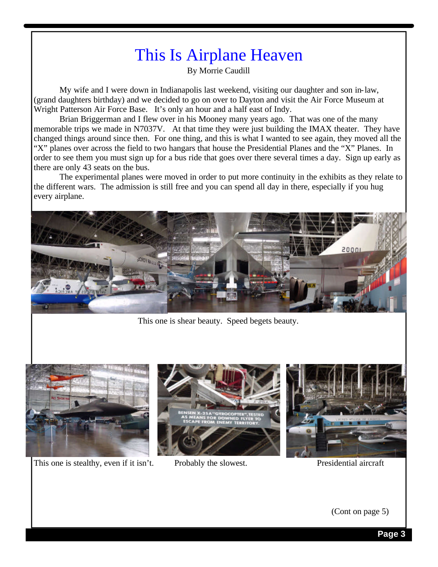# This Is Airplane Heaven

By Morrie Caudill

My wife and I were down in Indianapolis last weekend, visiting our daughter and son in-law, (grand daughters birthday) and we decided to go on over to Dayton and visit the Air Force Museum at Wright Patterson Air Force Base. It's only an hour and a half east of Indy.

Brian Briggerman and I flew over in his Mooney many years ago. That was one of the many memorable trips we made in N7037V. At that time they were just building the IMAX theater. They have changed things around since then. For one thing, and this is what I wanted to see again, they moved all the "X" planes over across the field to two hangars that house the Presidential Planes and the "X" Planes. In order to see them you must sign up for a bus ride that goes over there several times a day. Sign up early as there are only 43 seats on the bus.

The experimental planes were moved in order to put more continuity in the exhibits as they relate to the different wars. The admission is still free and you can spend all day in there, especially if you hug every airplane.



This one is shear beauty. Speed begets beauty.



This one is stealthy, even if it isn't. Probably the slowest. Presidential aircraft





(Cont on page 5)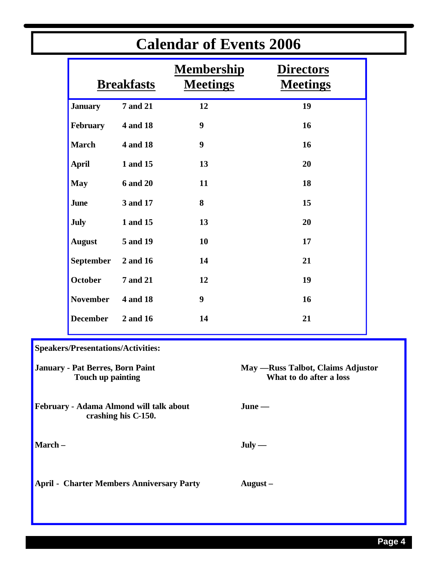| <b>Calendar of Events 2006</b>                                 |                                           |                   |                                                               |                                     |  |
|----------------------------------------------------------------|-------------------------------------------|-------------------|---------------------------------------------------------------|-------------------------------------|--|
|                                                                |                                           | <b>Breakfasts</b> | <b>Membership</b><br><b>Meetings</b>                          | <b>Directors</b><br><b>Meetings</b> |  |
|                                                                | <b>January</b>                            | <b>7 and 21</b>   | 12                                                            | 19                                  |  |
|                                                                | February                                  | 4 and 18          | 9                                                             | 16                                  |  |
|                                                                | <b>March</b>                              | 4 and 18          | $\boldsymbol{9}$                                              | 16                                  |  |
|                                                                | <b>April</b>                              | 1 and 15          | 13                                                            | 20                                  |  |
|                                                                | <b>May</b>                                | <b>6 and 20</b>   | 11                                                            | 18                                  |  |
|                                                                | June                                      | 3 and 17          | 8                                                             | 15                                  |  |
|                                                                | <b>July</b>                               | 1 and 15          | 13                                                            | 20                                  |  |
|                                                                | <b>August</b>                             | 5 and 19          | 10                                                            | 17                                  |  |
|                                                                | <b>September</b>                          | 2 and 16          | 14                                                            | 21                                  |  |
|                                                                | <b>October</b>                            | <b>7 and 21</b>   | 12                                                            | 19                                  |  |
|                                                                | <b>November</b>                           | 4 and 18          | $\boldsymbol{9}$                                              | 16                                  |  |
|                                                                | <b>December</b>                           | 2 and 16          | 14                                                            | 21                                  |  |
|                                                                | <b>Speakers/Presentations/Activities:</b> |                   |                                                               |                                     |  |
| January - Pat Berres, Born Paint<br>Touch up painting          |                                           |                   | May — Russ Talbot, Claims Adjustor<br>What to do after a loss |                                     |  |
| February - Adama Almond will talk about<br>crashing his C-150. |                                           |                   |                                                               | $June$ —                            |  |
| March-                                                         |                                           |                   |                                                               | $July -$                            |  |
| <b>April - Charter Members Anniversary Party</b>               |                                           |                   |                                                               | August $-$                          |  |